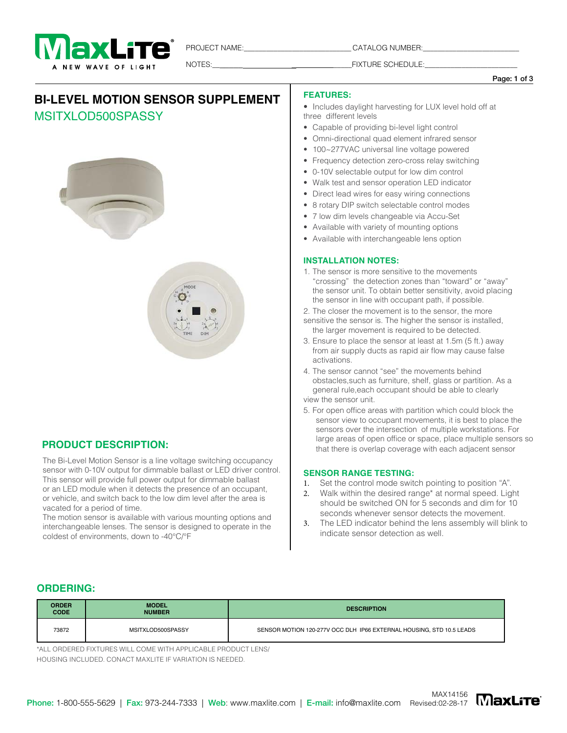

PROJECT NAME:\_\_\_\_\_\_\_\_\_\_\_\_\_\_\_\_\_\_\_\_\_\_\_\_\_\_\_\_\_\_\_\_\_\_\_CATALOG NUMBER:\_

NOTES: NOTES: THE SCHEDULE:

#### Page: 1 of 3

# **BI-LEVEL MOTION SENSOR SUPPLEMENT**

# MSITXLOD500SPASSY





# **PRODUCT DESCRIPTION:**

The Bi-Level Motion Sensor is a line voltage switching occupancy sensor with 0-10V output for dimmable ballast or LED driver control. This sensor will provide full power output for dimmable ballast or an LED module when it detects the presence of an occupant, or vehicle, and switch back to the low dim level after the area is vacated for a period of time.

The motion sensor is available with various mounting options and interchangeable lenses. The sensor is designed to operate in the coldest of environments, down to -40°C/°F

### **FEATURES:**

• Includes daylight harvesting for LUX level hold off at three different levels

- Capable of providing bi-level light control
- Omni-directional quad element infrared sensor
- 100~277VAC universal line voltage powered
- Frequency detection zero-cross relay switching
- 0-10V selectable output for low dim control
- Walk test and sensor operation LED indicator
- Direct lead wires for easy wiring connections
- 8 rotary DIP switch selectable control modes
- 7 low dim levels changeable via Accu-Set
- Available with variety of mounting options
- Available with interchangeable lens option

### **INSTALLATION NOTES:**

- 1. The sensor is more sensitive to the movements "crossing" the detection zones than "toward" or "away" the sensor unit. To obtain better sensitivity, avoid placing the sensor in line with occupant path, if possible.
- 2. The closer the movement is to the sensor, the more
- sensitive the sensor is. The higher the sensor is installed, the larger movement is required to be detected.
- 3. Ensure to place the sensor at least at 1.5m (5 ft.) away from air supply ducts as rapid air flow may cause false activations.
- 4. The sensor cannot "see" the movements behind obstacles,such as furniture, shelf, glass or partition. As a general rule,each occupant should be able to clearly view the sensor unit.
- 5. For open office areas with partition which could block the sensor view to occupant movements, it is best to place the sensors over the intersection of multiple workstations. For large areas of open office or space, place multiple sensors so that there is overlap coverage with each adjacent sensor

### **SENSOR RANGE TESTING:**

- 1. Set the control mode switch pointing to position "A".
- 2. Walk within the desired range\* at normal speed. Light should be switched ON for 5 seconds and dim for 10 seconds whenever sensor detects the movement.
- 3. The LED indicator behind the lens assembly will blink to indicate sensor detection as well.

## **ORDERING:**

| <b>ORDER</b><br><b>CODE</b> | <b>MODEL</b><br><b>NUMBER</b> | <b>DESCRIPTION</b>                                                   |
|-----------------------------|-------------------------------|----------------------------------------------------------------------|
| 73872                       | MSITXLOD500SPASSY             | SENSOR MOTION 120-277V OCC DLH IP66 EXTERNAL HOUSING, STD 10.5 LEADS |

\*ALL ORDERED FIXTURES WILL COME WITH APPLICABLE PRODUCT LENS/ HOUSING INCLUDED. CONACT MAXLITE IF VARIATION IS NEEDED.

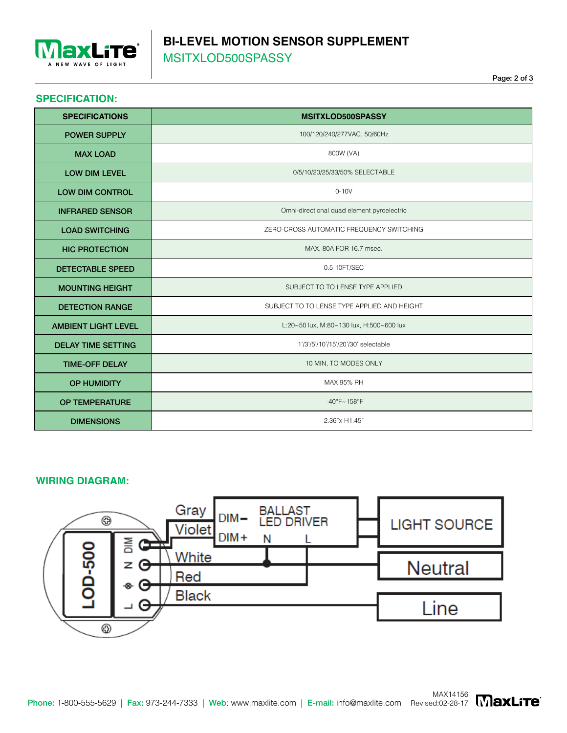

# **BI-LEVEL MOTION SENSOR SUPPLEMENT** MSITXLOD500SPASSY

## **SPECIFICATION:**

| <b>SPECIFICATIONS</b>      | <b>MSITXLOD500SPASSY</b>                    |  |  |  |  |
|----------------------------|---------------------------------------------|--|--|--|--|
| <b>POWER SUPPLY</b>        | 100/120/240/277VAC, 50/60Hz                 |  |  |  |  |
| <b>MAX LOAD</b>            | 800W (VA)                                   |  |  |  |  |
| <b>LOW DIM LEVEL</b>       | 0/5/10/20/25/33/50% SELECTABLE              |  |  |  |  |
| <b>LOW DIM CONTROL</b>     | $0-10V$                                     |  |  |  |  |
| <b>INFRARED SENSOR</b>     | Omni-directional quad element pyroelectric  |  |  |  |  |
| <b>LOAD SWITCHING</b>      | ZERO-CROSS AUTOMATIC FREQUENCY SWITCHING    |  |  |  |  |
| <b>HIC PROTECTION</b>      | MAX, 80A FOR 16.7 msec.                     |  |  |  |  |
| <b>DETECTABLE SPEED</b>    | 0.5-10FT/SEC                                |  |  |  |  |
| <b>MOUNTING HEIGHT</b>     | SUBJECT TO TO LENSE TYPE APPLIED            |  |  |  |  |
| <b>DETECTION RANGE</b>     | SUBJECT TO TO LENSE TYPE APPLIED AND HEIGHT |  |  |  |  |
| <b>AMBIENT LIGHT LEVEL</b> | L:20~50 lux, M:80~130 lux, H:500~600 lux    |  |  |  |  |
| <b>DELAY TIME SETTING</b>  | 1'/3'/5'/10'/15'/20'/30' selectable         |  |  |  |  |
| <b>TIME-OFF DELAY</b>      | 10 MIN, TO MODES ONLY                       |  |  |  |  |
| <b>OP HUMIDITY</b>         | MAX 95% RH                                  |  |  |  |  |
| <b>OP TEMPERATURE</b>      | $-40^{\circ}F - 158^{\circ}F$               |  |  |  |  |
| <b>DIMENSIONS</b>          | 2.36"x H1.45"                               |  |  |  |  |

# **WIRING DIAGRAM:**